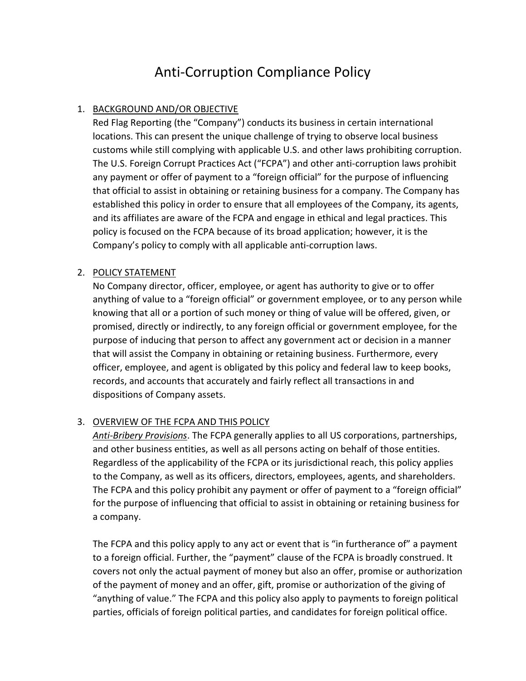# Anti-Corruption Compliance Policy

## 1. BACKGROUND AND/OR OBJECTIVE

Red Flag Reporting (the "Company") conducts its business in certain international locations. This can present the unique challenge of trying to observe local business customs while still complying with applicable U.S. and other laws prohibiting corruption. The U.S. Foreign Corrupt Practices Act ("FCPA") and other anti-corruption laws prohibit any payment or offer of payment to a "foreign official" for the purpose of influencing that official to assist in obtaining or retaining business for a company. The Company has established this policy in order to ensure that all employees of the Company, its agents, and its affiliates are aware of the FCPA and engage in ethical and legal practices. This policy is focused on the FCPA because of its broad application; however, it is the Company's policy to comply with all applicable anti-corruption laws.

### 2. POLICY STATEMENT

No Company director, officer, employee, or agent has authority to give or to offer anything of value to a "foreign official" or government employee, or to any person while knowing that all or a portion of such money or thing of value will be offered, given, or promised, directly or indirectly, to any foreign official or government employee, for the purpose of inducing that person to affect any government act or decision in a manner that will assist the Company in obtaining or retaining business. Furthermore, every officer, employee, and agent is obligated by this policy and federal law to keep books, records, and accounts that accurately and fairly reflect all transactions in and dispositions of Company assets.

### 3. OVERVIEW OF THE FCPA AND THIS POLICY

Anti-Bribery Provisions. The FCPA generally applies to all US corporations, partnerships, and other business entities, as well as all persons acting on behalf of those entities. Regardless of the applicability of the FCPA or its jurisdictional reach, this policy applies to the Company, as well as its officers, directors, employees, agents, and shareholders. The FCPA and this policy prohibit any payment or offer of payment to a "foreign official" for the purpose of influencing that official to assist in obtaining or retaining business for a company.

The FCPA and this policy apply to any act or event that is "in furtherance of" a payment to a foreign official. Further, the "payment" clause of the FCPA is broadly construed. It covers not only the actual payment of money but also an offer, promise or authorization of the payment of money and an offer, gift, promise or authorization of the giving of "anything of value." The FCPA and this policy also apply to payments to foreign political parties, officials of foreign political parties, and candidates for foreign political office.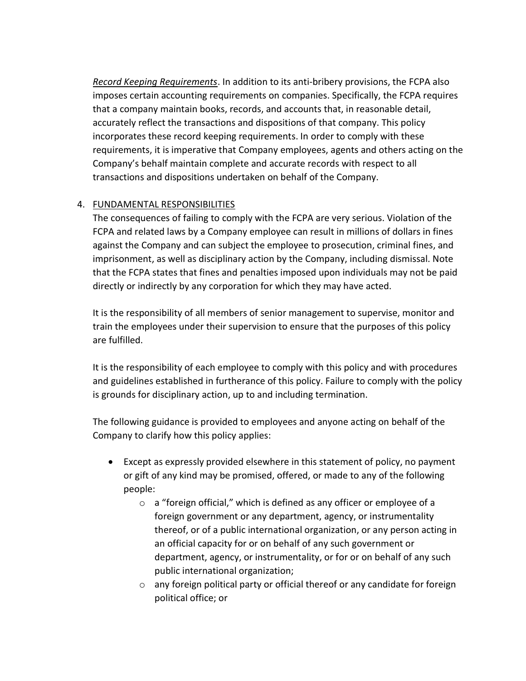Record Keeping Requirements. In addition to its anti-bribery provisions, the FCPA also imposes certain accounting requirements on companies. Specifically, the FCPA requires that a company maintain books, records, and accounts that, in reasonable detail, accurately reflect the transactions and dispositions of that company. This policy incorporates these record keeping requirements. In order to comply with these requirements, it is imperative that Company employees, agents and others acting on the Company's behalf maintain complete and accurate records with respect to all transactions and dispositions undertaken on behalf of the Company.

### 4. FUNDAMENTAL RESPONSIBILITIES

The consequences of failing to comply with the FCPA are very serious. Violation of the FCPA and related laws by a Company employee can result in millions of dollars in fines against the Company and can subject the employee to prosecution, criminal fines, and imprisonment, as well as disciplinary action by the Company, including dismissal. Note that the FCPA states that fines and penalties imposed upon individuals may not be paid directly or indirectly by any corporation for which they may have acted.

It is the responsibility of all members of senior management to supervise, monitor and train the employees under their supervision to ensure that the purposes of this policy are fulfilled.

It is the responsibility of each employee to comply with this policy and with procedures and guidelines established in furtherance of this policy. Failure to comply with the policy is grounds for disciplinary action, up to and including termination.

The following guidance is provided to employees and anyone acting on behalf of the Company to clarify how this policy applies:

- Except as expressly provided elsewhere in this statement of policy, no payment or gift of any kind may be promised, offered, or made to any of the following people:
	- o a "foreign official," which is defined as any officer or employee of a foreign government or any department, agency, or instrumentality thereof, or of a public international organization, or any person acting in an official capacity for or on behalf of any such government or department, agency, or instrumentality, or for or on behalf of any such public international organization;
	- o any foreign political party or official thereof or any candidate for foreign political office; or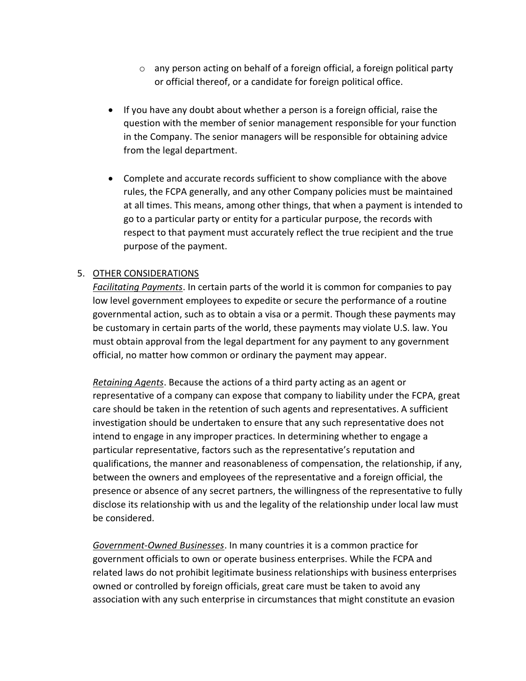- $\circ$  any person acting on behalf of a foreign official, a foreign political party or official thereof, or a candidate for foreign political office.
- If you have any doubt about whether a person is a foreign official, raise the question with the member of senior management responsible for your function in the Company. The senior managers will be responsible for obtaining advice from the legal department.
- Complete and accurate records sufficient to show compliance with the above rules, the FCPA generally, and any other Company policies must be maintained at all times. This means, among other things, that when a payment is intended to go to a particular party or entity for a particular purpose, the records with respect to that payment must accurately reflect the true recipient and the true purpose of the payment.

#### 5. OTHER CONSIDERATIONS

Facilitating Payments. In certain parts of the world it is common for companies to pay low level government employees to expedite or secure the performance of a routine governmental action, such as to obtain a visa or a permit. Though these payments may be customary in certain parts of the world, these payments may violate U.S. law. You must obtain approval from the legal department for any payment to any government official, no matter how common or ordinary the payment may appear.

Retaining Agents. Because the actions of a third party acting as an agent or representative of a company can expose that company to liability under the FCPA, great care should be taken in the retention of such agents and representatives. A sufficient investigation should be undertaken to ensure that any such representative does not intend to engage in any improper practices. In determining whether to engage a particular representative, factors such as the representative's reputation and qualifications, the manner and reasonableness of compensation, the relationship, if any, between the owners and employees of the representative and a foreign official, the presence or absence of any secret partners, the willingness of the representative to fully disclose its relationship with us and the legality of the relationship under local law must be considered.

Government-Owned Businesses. In many countries it is a common practice for government officials to own or operate business enterprises. While the FCPA and related laws do not prohibit legitimate business relationships with business enterprises owned or controlled by foreign officials, great care must be taken to avoid any association with any such enterprise in circumstances that might constitute an evasion